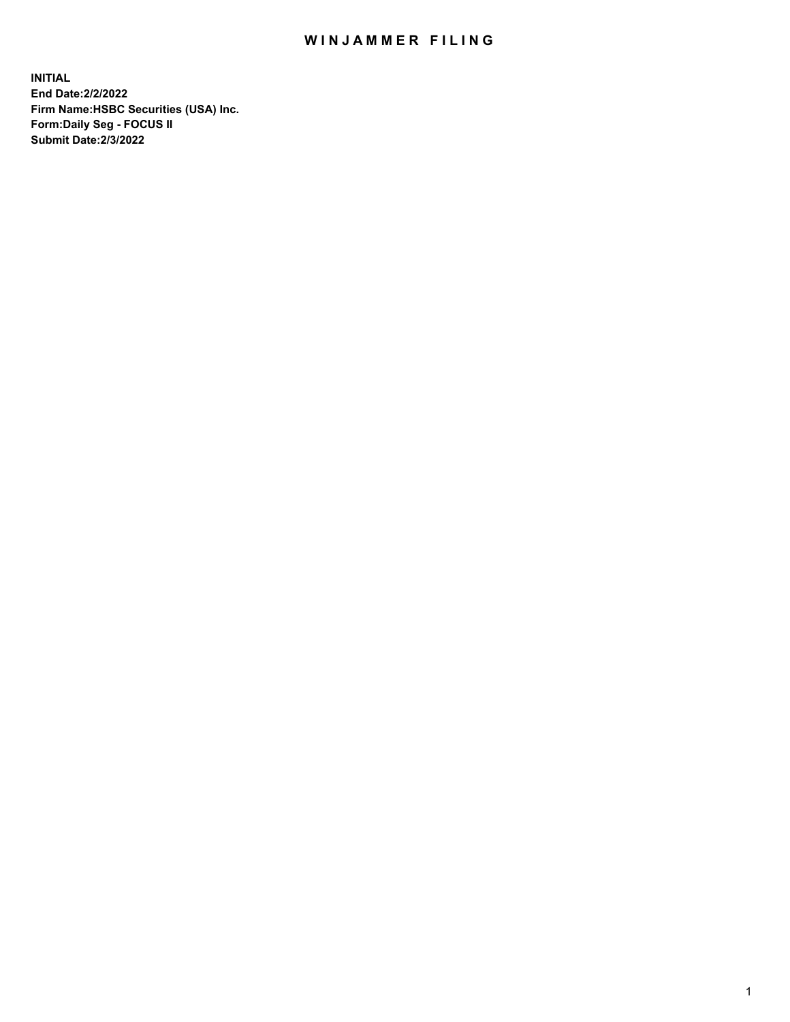## WIN JAMMER FILING

**INITIAL End Date:2/2/2022 Firm Name:HSBC Securities (USA) Inc. Form:Daily Seg - FOCUS II Submit Date:2/3/2022**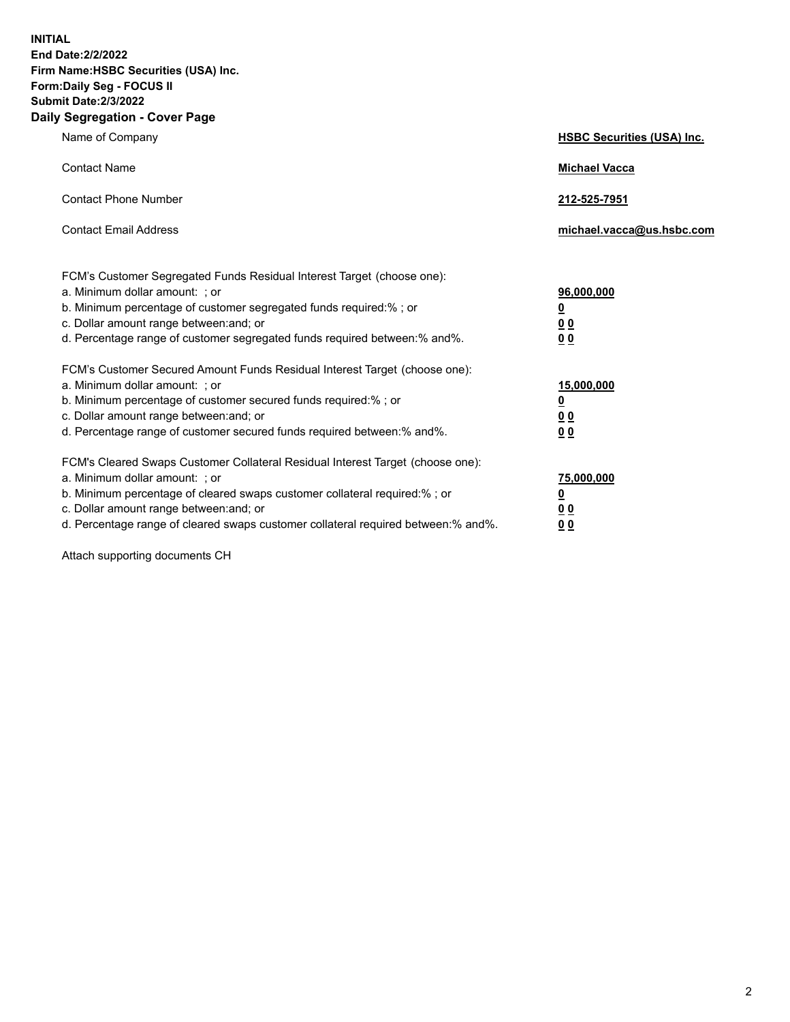**INITIAL End Date:2/2/2022 Firm Name:HSBC Securities (USA) Inc. Form:Daily Seg - FOCUS II Submit Date:2/3/2022 Daily Segregation - Cover Page**

| Name of Company                                                                                                                                                                                                                                                                                                                | <b>HSBC Securities (USA) Inc.</b>                                         |
|--------------------------------------------------------------------------------------------------------------------------------------------------------------------------------------------------------------------------------------------------------------------------------------------------------------------------------|---------------------------------------------------------------------------|
| <b>Contact Name</b>                                                                                                                                                                                                                                                                                                            | <b>Michael Vacca</b>                                                      |
| <b>Contact Phone Number</b>                                                                                                                                                                                                                                                                                                    | 212-525-7951                                                              |
| <b>Contact Email Address</b>                                                                                                                                                                                                                                                                                                   | michael.vacca@us.hsbc.com                                                 |
| FCM's Customer Segregated Funds Residual Interest Target (choose one):<br>a. Minimum dollar amount: ; or<br>b. Minimum percentage of customer segregated funds required:% ; or<br>c. Dollar amount range between: and; or<br>d. Percentage range of customer segregated funds required between:% and%.                         | 96,000,000<br>$\overline{\mathbf{0}}$<br>0 <sub>0</sub><br>0 <sub>0</sub> |
| FCM's Customer Secured Amount Funds Residual Interest Target (choose one):<br>a. Minimum dollar amount: ; or<br>b. Minimum percentage of customer secured funds required:% ; or<br>c. Dollar amount range between: and; or<br>d. Percentage range of customer secured funds required between:% and%.                           | 15,000,000<br><u>0</u><br>0 <sub>0</sub><br>0 <sub>0</sub>                |
| FCM's Cleared Swaps Customer Collateral Residual Interest Target (choose one):<br>a. Minimum dollar amount: ; or<br>b. Minimum percentage of cleared swaps customer collateral required:% ; or<br>c. Dollar amount range between: and; or<br>d. Percentage range of cleared swaps customer collateral required between:% and%. | 75,000,000<br><u>0</u><br>00<br>00                                        |

Attach supporting documents CH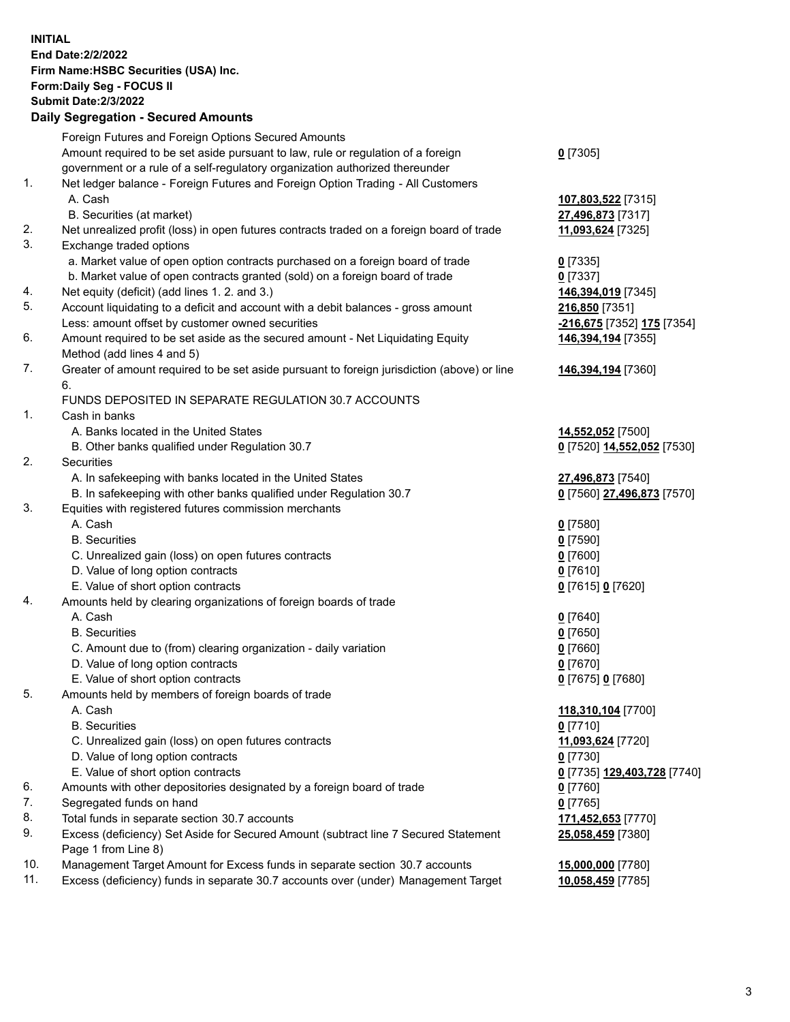**INITIAL End Date:2/2/2022 Firm Name:HSBC Securities (USA) Inc. Form:Daily Seg - FOCUS II Submit Date:2/3/2022 Daily Segregation - Secured Amounts** Foreign Futures and Foreign Options Secured Amounts Amount required to be set aside pursuant to law, rule or regulation of a foreign government or a rule of a self-regulatory organization authorized thereunder **0** [7305] 1. Net ledger balance - Foreign Futures and Foreign Option Trading - All Customers A. Cash **107,803,522** [7315] B. Securities (at market) **27,496,873** [7317] 2. Net unrealized profit (loss) in open futures contracts traded on a foreign board of trade **11,093,624** [7325] 3. Exchange traded options a. Market value of open option contracts purchased on a foreign board of trade **0** [7335] b. Market value of open contracts granted (sold) on a foreign board of trade **0** [7337] 4. Net equity (deficit) (add lines 1. 2. and 3.) **146,394,019** [7345] 5. Account liquidating to a deficit and account with a debit balances - gross amount **216,850** [7351] Less: amount offset by customer owned securities **-216,675** [7352] **175** [7354] 6. Amount required to be set aside as the secured amount - Net Liquidating Equity Method (add lines 4 and 5) **146,394,194** [7355] 7. Greater of amount required to be set aside pursuant to foreign jurisdiction (above) or line 6. **146,394,194** [7360] FUNDS DEPOSITED IN SEPARATE REGULATION 30.7 ACCOUNTS 1. Cash in banks A. Banks located in the United States **14,552,052** [7500] B. Other banks qualified under Regulation 30.7 **0** [7520] **14,552,052** [7530] 2. Securities A. In safekeeping with banks located in the United States **27,496,873** [7540] B. In safekeeping with other banks qualified under Regulation 30.7 **0** [7560] **27,496,873** [7570] 3. Equities with registered futures commission merchants A. Cash **0** [7580] B. Securities **0** [7590] C. Unrealized gain (loss) on open futures contracts **0** [7600] D. Value of long option contracts **0** [7610] E. Value of short option contracts **0** [7615] **0** [7620] 4. Amounts held by clearing organizations of foreign boards of trade A. Cash **0** [7640] B. Securities **0** [7650] C. Amount due to (from) clearing organization - daily variation **0** [7660] D. Value of long option contracts **0** [7670] E. Value of short option contracts **0** [7675] **0** [7680] 5. Amounts held by members of foreign boards of trade A. Cash **118,310,104** [7700] B. Securities **0** [7710] C. Unrealized gain (loss) on open futures contracts **11,093,624** [7720] D. Value of long option contracts **0** [7730] E. Value of short option contracts **0** [7735] **129,403,728** [7740] 6. Amounts with other depositories designated by a foreign board of trade **0** [7760] 7. Segregated funds on hand **0** [7765] 8. Total funds in separate section 30.7 accounts **171,452,653** [7770] 9. Excess (deficiency) Set Aside for Secured Amount (subtract line 7 Secured Statement Page 1 from Line 8) **25,058,459** [7380] 10. Management Target Amount for Excess funds in separate section 30.7 accounts **15,000,000** [7780] 11. Excess (deficiency) funds in separate 30.7 accounts over (under) Management Target **10,058,459** [7785]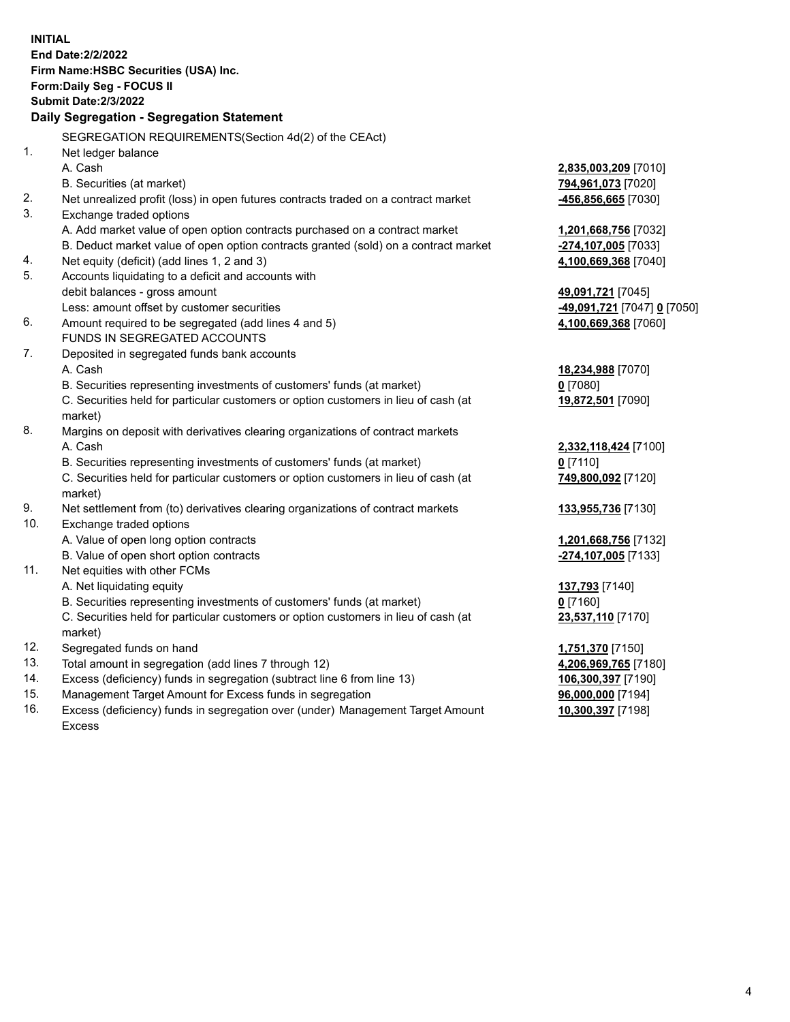| <b>INITIAL</b> |                                                                                                |                                                       |
|----------------|------------------------------------------------------------------------------------------------|-------------------------------------------------------|
|                | End Date: 2/2/2022                                                                             |                                                       |
|                | Firm Name: HSBC Securities (USA) Inc.                                                          |                                                       |
|                | <b>Form:Daily Seg - FOCUS II</b>                                                               |                                                       |
|                | <b>Submit Date:2/3/2022</b>                                                                    |                                                       |
|                | Daily Segregation - Segregation Statement                                                      |                                                       |
|                | SEGREGATION REQUIREMENTS(Section 4d(2) of the CEAct)                                           |                                                       |
| 1.             | Net ledger balance                                                                             |                                                       |
|                | A. Cash                                                                                        | <u>2,835,003,209</u> [7010]                           |
|                | B. Securities (at market)                                                                      | 794,961,073 [7020]                                    |
| 2.             | Net unrealized profit (loss) in open futures contracts traded on a contract market             | 456,856,665 [7030]                                    |
| 3.             | Exchange traded options                                                                        |                                                       |
|                | A. Add market value of open option contracts purchased on a contract market                    | <u>1,201,668,756</u> [7032]                           |
|                | B. Deduct market value of open option contracts granted (sold) on a contract market            | <mark>-274,107,005</mark> [7033]                      |
| 4.             | Net equity (deficit) (add lines 1, 2 and 3)                                                    | 4,100,669,368 [7040]                                  |
| 5.             | Accounts liquidating to a deficit and accounts with                                            |                                                       |
|                | debit balances - gross amount                                                                  | 49,091,721 [7045]                                     |
|                | Less: amount offset by customer securities                                                     | <mark>-49,091,721</mark> [7047] <mark>0</mark> [7050] |
| 6.             | Amount required to be segregated (add lines 4 and 5)                                           | 4,100,669,368 [7060]                                  |
|                | FUNDS IN SEGREGATED ACCOUNTS                                                                   |                                                       |
| 7.             | Deposited in segregated funds bank accounts                                                    |                                                       |
|                | A. Cash                                                                                        | 18,234,988 [7070]                                     |
|                | B. Securities representing investments of customers' funds (at market)                         | $0$ [7080]                                            |
|                | C. Securities held for particular customers or option customers in lieu of cash (at<br>market) | 19,872,501 [7090]                                     |
| 8.             | Margins on deposit with derivatives clearing organizations of contract markets                 |                                                       |
|                | A. Cash                                                                                        | 2,332,118,424 [7100]                                  |
|                | B. Securities representing investments of customers' funds (at market)                         | $0$ [7110]                                            |
|                | C. Securities held for particular customers or option customers in lieu of cash (at            | 749,800,092 [7120]                                    |
|                | market)                                                                                        |                                                       |
| 9.             | Net settlement from (to) derivatives clearing organizations of contract markets                | 133,955,736 [7130]                                    |
| 10.            | Exchange traded options                                                                        |                                                       |
|                | A. Value of open long option contracts                                                         | 1,201,668,756 [7132]                                  |
|                | B. Value of open short option contracts                                                        | -274,107,005 [7133]                                   |
| 11.            | Net equities with other FCMs                                                                   |                                                       |
|                | A. Net liquidating equity                                                                      | <u>137,793</u> [7140]                                 |
|                | B. Securities representing investments of customers' funds (at market)                         | $0$ [7160]                                            |
|                | C. Securities held for particular customers or option customers in lieu of cash (at            | 23,537,110 [7170]                                     |
|                | market)                                                                                        |                                                       |
| 12.            | Segregated funds on hand                                                                       | 1,751,370 [7150]                                      |
| 13.            | Total amount in segregation (add lines 7 through 12)                                           | 4,206,969,765 [7180]                                  |
| 14.            | Excess (deficiency) funds in segregation (subtract line 6 from line 13)                        | 106,300,397 [7190]                                    |
| 15.            | Management Target Amount for Excess funds in segregation                                       | 96,000,000 [7194]                                     |

16. Excess (deficiency) funds in segregation over (under) Management Target Amount Excess

**10,300,397** [7198]